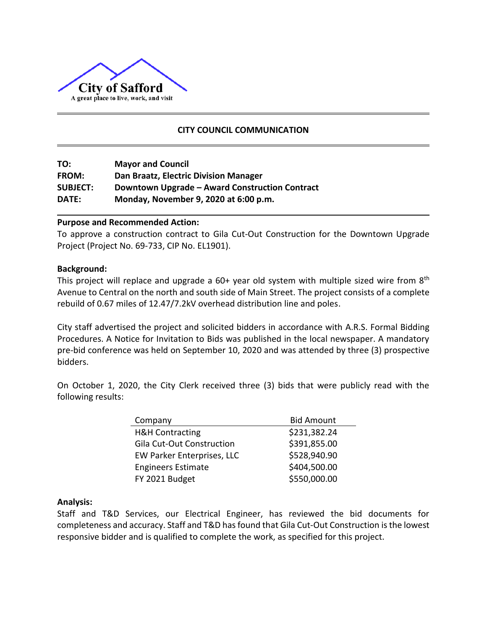

# **CITY COUNCIL COMMUNICATION**

| TO:             | <b>Mayor and Council</b>                       |
|-----------------|------------------------------------------------|
| <b>FROM:</b>    | Dan Braatz, Electric Division Manager          |
| <b>SUBJECT:</b> | Downtown Upgrade - Award Construction Contract |
| DATE:           | Monday, November 9, 2020 at 6:00 p.m.          |

# **Purpose and Recommended Action:**

To approve a construction contract to Gila Cut-Out Construction for the Downtown Upgrade Project (Project No. 69-733, CIP No. EL1901).

### **Background:**

This project will replace and upgrade a  $60+$  year old system with multiple sized wire from  $8<sup>th</sup>$ Avenue to Central on the north and south side of Main Street. The project consists of a complete rebuild of 0.67 miles of 12.47/7.2kV overhead distribution line and poles.

City staff advertised the project and solicited bidders in accordance with A.R.S. Formal Bidding Procedures. A Notice for Invitation to Bids was published in the local newspaper. A mandatory pre-bid conference was held on September 10, 2020 and was attended by three (3) prospective bidders.

On October 1, 2020, the City Clerk received three (3) bids that were publicly read with the following results:

| Company                          | <b>Bid Amount</b> |
|----------------------------------|-------------------|
| <b>H&amp;H Contracting</b>       | \$231,382.24      |
| <b>Gila Cut-Out Construction</b> | \$391,855.00      |
| EW Parker Enterprises, LLC       | \$528,940.90      |
| <b>Engineers Estimate</b>        | \$404,500.00      |
| FY 2021 Budget                   | \$550,000.00      |

### **Analysis:**

Staff and T&D Services, our Electrical Engineer, has reviewed the bid documents for completeness and accuracy. Staff and T&D has found that Gila Cut-Out Construction is the lowest responsive bidder and is qualified to complete the work, as specified for this project.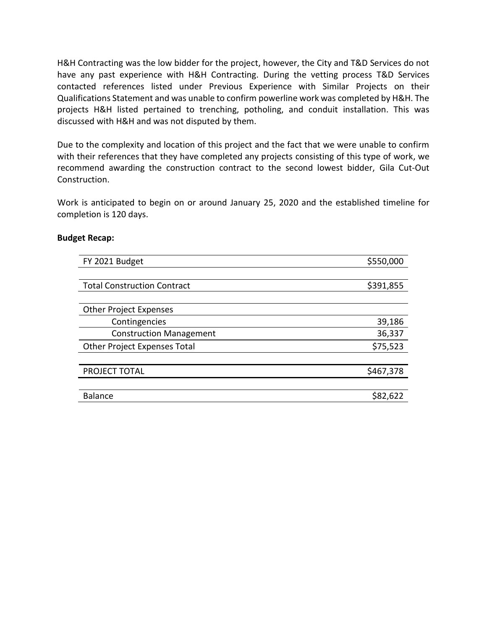H&H Contracting was the low bidder for the project, however, the City and T&D Services do not have any past experience with H&H Contracting. During the vetting process T&D Services contacted references listed under Previous Experience with Similar Projects on their Qualifications Statement and was unable to confirm powerline work was completed by H&H. The projects H&H listed pertained to trenching, potholing, and conduit installation. This was discussed with H&H and was not disputed by them.

Due to the complexity and location of this project and the fact that we were unable to confirm with their references that they have completed any projects consisting of this type of work, we recommend awarding the construction contract to the second lowest bidder, Gila Cut-Out Construction.

Work is anticipated to begin on or around January 25, 2020 and the established timeline for completion is 120 days.

# **Budget Recap:**

| FY 2021 Budget                      | \$550,000 |
|-------------------------------------|-----------|
|                                     |           |
| <b>Total Construction Contract</b>  | \$391,855 |
|                                     |           |
| <b>Other Project Expenses</b>       |           |
| Contingencies                       | 39,186    |
| <b>Construction Management</b>      | 36,337    |
| <b>Other Project Expenses Total</b> | \$75,523  |
|                                     |           |
| PROJECT TOTAL                       | \$467,378 |
|                                     |           |
| <b>Balance</b>                      | \$82,622  |
|                                     |           |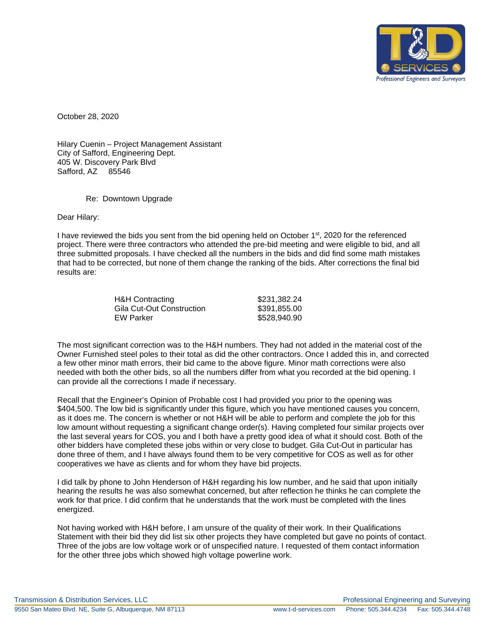

October 28, 2020

Hilary Cuenin – Project Management Assistant City of Safford, Engineering Dept. 405 W. Discovery Park Blvd Safford, AZ 85546

Re: Downtown Upgrade

Dear Hilary:

I have reviewed the bids you sent from the bid opening held on October 1<sup>st</sup>, 2020 for the referenced project. There were three contractors who attended the pre-bid meeting and were eligible to bid, and all three submitted proposals. I have checked all the numbers in the bids and did find some math mistakes that had to be corrected, but none of them change the ranking of the bids. After corrections the final bid results are:

| H&H Contracting           | \$231,382.24 |
|---------------------------|--------------|
| Gila Cut-Out Construction | \$391,855,00 |
| EW Parker                 | \$528,940,90 |

The most significant correction was to the H&H numbers. They had not added in the material cost of the Owner Furnished steel poles to their total as did the other contractors. Once I added this in, and corrected a few other minor math errors, their bid came to the above figure. Minor math corrections were also needed with both the other bids, so all the numbers differ from what you recorded at the bid opening. I can provide all the corrections I made if necessary.

Recall that the Engineer's Opinion of Probable cost I had provided you prior to the opening was \$404,500. The low bid is significantly under this figure, which you have mentioned causes you concern, as it does me. The concern is whether or not H&H will be able to perform and complete the job for this low amount without requesting a significant change order(s). Having completed four similar projects over the last several years for COS, you and I both have a pretty good idea of what it should cost. Both of the other bidders have completed these jobs within or very close to budget. Gila Cut-Out in particular has done three of them, and I have always found them to be very competitive for COS as well as for other cooperatives we have as clients and for whom they have bid projects.

I did talk by phone to John Henderson of H&H regarding his low number, and he said that upon initially hearing the results he was also somewhat concerned, but after reflection he thinks he can complete the work for that price. I did confirm that he understands that the work must be completed with the lines energized.

Not having worked with H&H before, I am unsure of the quality of their work. In their Qualifications Statement with their bid they did list six other projects they have completed but gave no points of contact. Three of the jobs are low voltage work or of unspecified nature. I requested of them contact information for the other three jobs which showed high voltage powerline work.